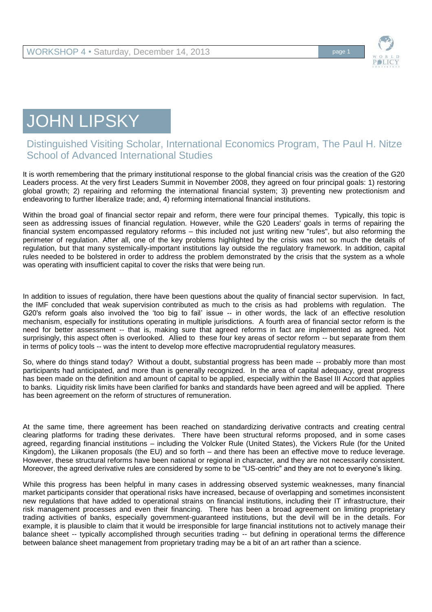

## JOHN LIPSKY

## Distinguished Visiting Scholar, International Economics Program, The Paul H. Nitze School of Advanced International Studies

It is worth remembering that the primary institutional response to the global financial crisis was the creation of the G20 Leaders process. At the very first Leaders Summit in November 2008, they agreed on four principal goals: 1) restoring global growth; 2) repairing and reforming the international financial system; 3) preventing new protectionism and endeavoring to further liberalize trade; and, 4) reforming international financial institutions.

Within the broad goal of financial sector repair and reform, there were four principal themes. Typically, this topic is seen as addressing issues of financial regulation. However, while the G20 Leaders' goals in terms of repairing the financial system encompassed regulatory reforms – this included not just writing new "rules", but also reforming the perimeter of regulation. After all, one of the key problems highlighted by the crisis was not so much the details of regulation, but that many systemically-important institutions lay outside the regulatory framework. In addition, capital rules needed to be bolstered in order to address the problem demonstrated by the crisis that the system as a whole was operating with insufficient capital to cover the risks that were being run.

In addition to issues of regulation, there have been questions about the quality of financial sector supervision. In fact, the IMF concluded that weak supervision contributed as much to the crisis as had problems with regulation. The G20's reform goals also involved the 'too big to fail' issue -- in other words, the lack of an effective resolution mechanism, especially for institutions operating in multiple jurisdictions. A fourth area of financial sector reform is the need for better assessment -- that is, making sure that agreed reforms in fact are implemented as agreed. Not surprisingly, this aspect often is overlooked. Allied to these four key areas of sector reform -- but separate from them in terms of policy tools -- was the intent to develop more effective macroprudential regulatory measures.

So, where do things stand today? Without a doubt, substantial progress has been made -- probably more than most participants had anticipated, and more than is generally recognized. In the area of capital adequacy, great progress has been made on the definition and amount of capital to be applied, especially within the Basel III Accord that applies to banks. Liquidity risk limits have been clarified for banks and standards have been agreed and will be applied. There has been agreement on the reform of structures of remuneration.

At the same time, there agreement has been reached on standardizing derivative contracts and creating central clearing platforms for trading these derivates. There have been structural reforms proposed, and in some cases agreed, regarding financial institutions – including the Volcker Rule (United States), the Vickers Rule (for the United Kingdom), the Liikanen proposals (the EU) and so forth – and there has been an effective move to reduce leverage. However, these structural reforms have been national or regional in character, and they are not necessarily consistent. Moreover, the agreed derivative rules are considered by some to be "US-centric" and they are not to everyone's liking.

While this progress has been helpful in many cases in addressing observed systemic weaknesses, many financial market participants consider that operational risks have increased, because of overlapping and sometimes inconsistent new regulations that have added to operational strains on financial institutions, including their IT infrastructure, their risk management processes and even their financing. There has been a broad agreement on limiting proprietary trading activities of banks, especially government-guaranteed institutions, but the devil will be in the details. For example, it is plausible to claim that it would be irresponsible for large financial institutions not to actively manage their balance sheet -- typically accomplished through securities trading -- but defining in operational terms the difference between balance sheet management from proprietary trading may be a bit of an art rather than a science.